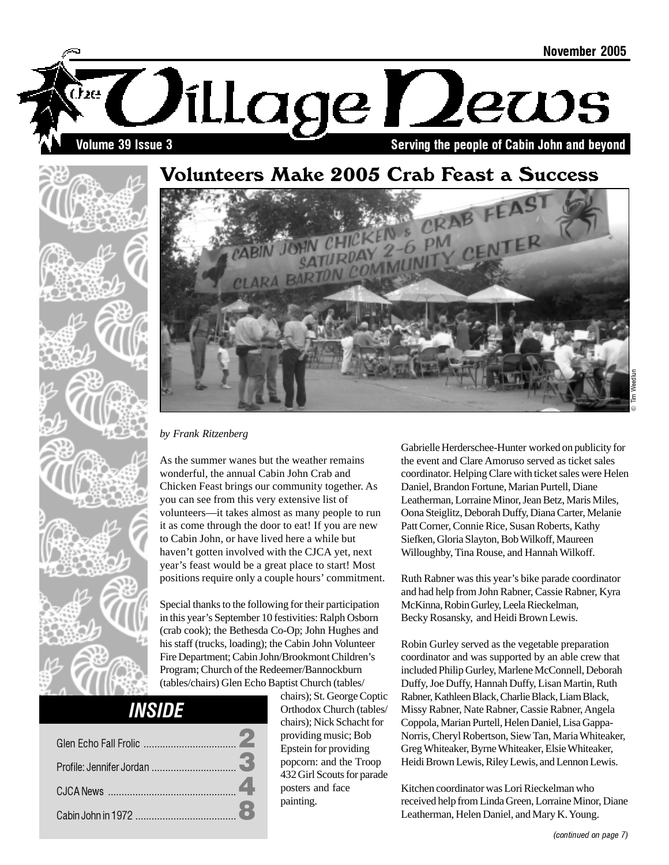

## Volunteers Make 2005 Crab Feast a Success



*by Frank Ritzenberg*

As the summer wanes but the weather remains wonderful, the annual Cabin John Crab and Chicken Feast brings our community together. As you can see from this very extensive list of volunteers—it takes almost as many people to run it as come through the door to eat! If you are new to Cabin John, or have lived here a while but haven't gotten involved with the CJCA yet, next year's feast would be a great place to start! Most positions require only a couple hours' commitment.

Special thanks to the following for their participation in this year's September 10 festivities: Ralph Osborn (crab cook); the Bethesda Co-Op; John Hughes and his staff (trucks, loading); the Cabin John Volunteer Fire Department; Cabin John/Brookmont Children's Program; Church of the Redeemer/Bannockburn (tables/chairs) Glen Echo Baptist Church (tables/

## INSIDE

| Profile: Jennifer Jordan |  |
|--------------------------|--|
|                          |  |
|                          |  |

chairs); St. George Coptic Orthodox Church (tables/ chairs); Nick Schacht for providing music; Bob Epstein for providing popcorn: and the Troop 432 Girl Scouts for parade posters and face painting.

Gabrielle Herderschee-Hunter worked on publicity for the event and Clare Amoruso served as ticket sales coordinator. Helping Clare with ticket sales were Helen Daniel, Brandon Fortune, Marian Purtell, Diane Leatherman, Lorraine Minor, Jean Betz, Maris Miles, Oona Steiglitz, Deborah Duffy, Diana Carter, Melanie Patt Corner, Connie Rice, Susan Roberts, Kathy Siefken, Gloria Slayton, Bob Wilkoff, Maureen Willoughby, Tina Rouse, and Hannah Wilkoff.

Ruth Rabner was this year's bike parade coordinator and had help from John Rabner, Cassie Rabner, Kyra McKinna, Robin Gurley, Leela Rieckelman, Becky Rosansky, and Heidi Brown Lewis.

Robin Gurley served as the vegetable preparation coordinator and was supported by an able crew that included Philip Gurley, Marlene McConnell, Deborah Duffy, Joe Duffy, Hannah Duffy, Lisan Martin, Ruth Rabner, Kathleen Black, Charlie Black, Liam Black, Missy Rabner, Nate Rabner, Cassie Rabner, Angela Coppola, Marian Purtell, Helen Daniel, Lisa Gappa-Norris, Cheryl Robertson, Siew Tan, Maria Whiteaker, Greg Whiteaker, Byrne Whiteaker, Elsie Whiteaker, Heidi Brown Lewis, Riley Lewis, and Lennon Lewis.

Kitchen coordinator was Lori Rieckelman who received help from Linda Green, Lorraine Minor, Diane Leatherman, Helen Daniel, and Mary K. Young.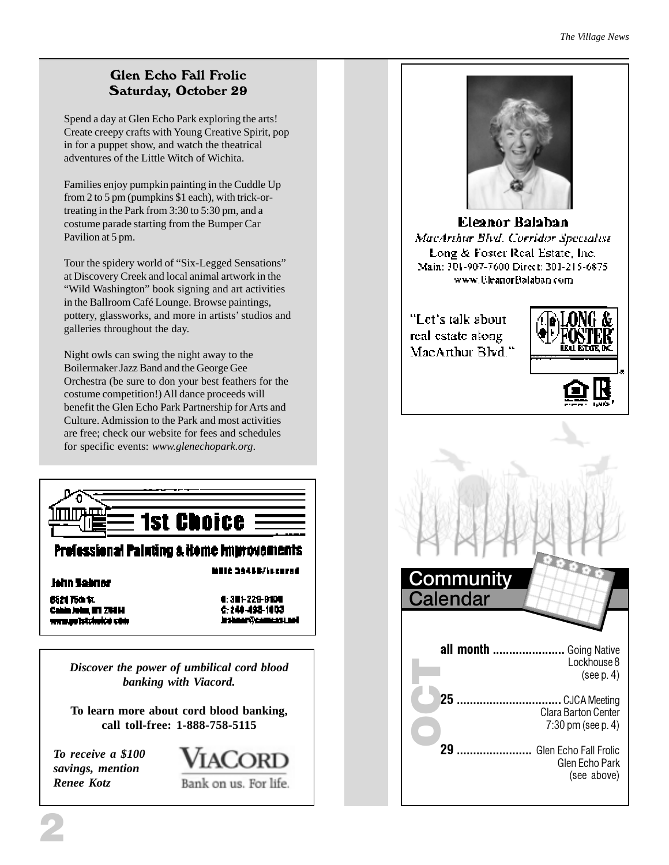#### *The Village News*

#### Glen Echo Fall Frolic Saturday, October 29

Spend a day at Glen Echo Park exploring the arts! Create creepy crafts with Young Creative Spirit, pop in for a puppet show, and watch the theatrical adventures of the Little Witch of Wichita.

Families enjoy pumpkin painting in the Cuddle Up from 2 to 5 pm (pumpkins \$1 each), with trick-ortreating in the Park from 3:30 to 5:30 pm, and a costume parade starting from the Bumper Car Pavilion at 5 pm.

Tour the spidery world of "Six-Legged Sensations" at Discovery Creek and local animal artwork in the "Wild Washington" book signing and art activities in the Ballroom Café Lounge. Browse paintings, pottery, glassworks, and more in artists' studios and galleries throughout the day.

Night owls can swing the night away to the Boilermaker Jazz Band and the George Gee Orchestra (be sure to don your best feathers for the costume competition!) All dance proceeds will benefit the Glen Echo Park Partnership for Arts and Culture. Admission to the Park and most activities are free; check our website for fees and schedules for specific events: *www.glenechopark.org*.



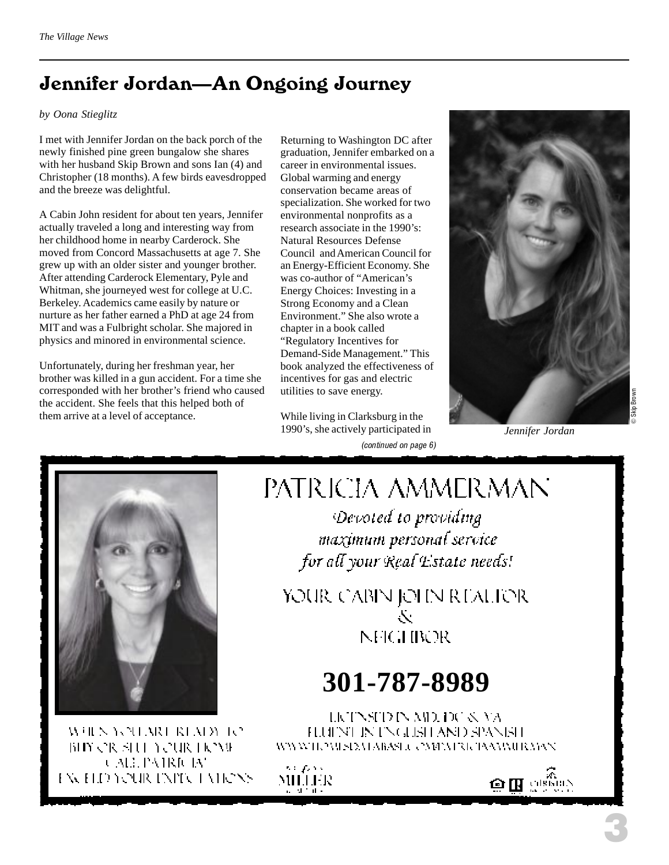## Jennifer Jordan—An Ongoing Journey

#### *by Oona Stieglitz*

I met with Jennifer Jordan on the back porch of the newly finished pine green bungalow she shares with her husband Skip Brown and sons Ian (4) and Christopher (18 months). A few birds eavesdropped and the breeze was delightful.

A Cabin John resident for about ten years, Jennifer actually traveled a long and interesting way from her childhood home in nearby Carderock. She moved from Concord Massachusetts at age 7. She grew up with an older sister and younger brother. After attending Carderock Elementary, Pyle and Whitman, she journeyed west for college at U.C. Berkeley. Academics came easily by nature or nurture as her father earned a PhD at age 24 from MIT and was a Fulbright scholar. She majored in physics and minored in environmental science.

Unfortunately, during her freshman year, her brother was killed in a gun accident. For a time she corresponded with her brother's friend who caused the accident. She feels that this helped both of them arrive at a level of acceptance.

Returning to Washington DC after graduation, Jennifer embarked on a career in environmental issues. Global warming and energy conservation became areas of specialization. She worked for two environmental nonprofits as a research associate in the 1990's: Natural Resources Defense Council and American Council for an Energy-Efficient Economy. She was co-author of "American's Energy Choices: Investing in a Strong Economy and a Clean Environment." She also wrote a chapter in a book called "Regulatory Incentives for Demand-Side Management." This book analyzed the effectiveness of incentives for gas and electric utilities to save energy.

(continued on page 6) While living in Clarksburg in the 1990's, she actively participated in



*Jennifer Jordan*



WHEN YOU MOUNTAIN TO BIY OR SHE YOUR HOME CALL PAIRICIAN EXCELD YOUR EXPLOTATIONS

# PATRICIA AMMERMAN

Devoted to providing maximum personal service for all your Real Estate needs!

YOUR CABIN JOHN REALIOR Ň **NFIGHBOR** 

# **301-787-8989**

LICTNSTD IN AID, DC & VA FLUENT IN ENGLISH AND SPANISH WWWIEZWSIEMARAS J. CMPATRICIAAMMIR MAN

sa pas MILLER

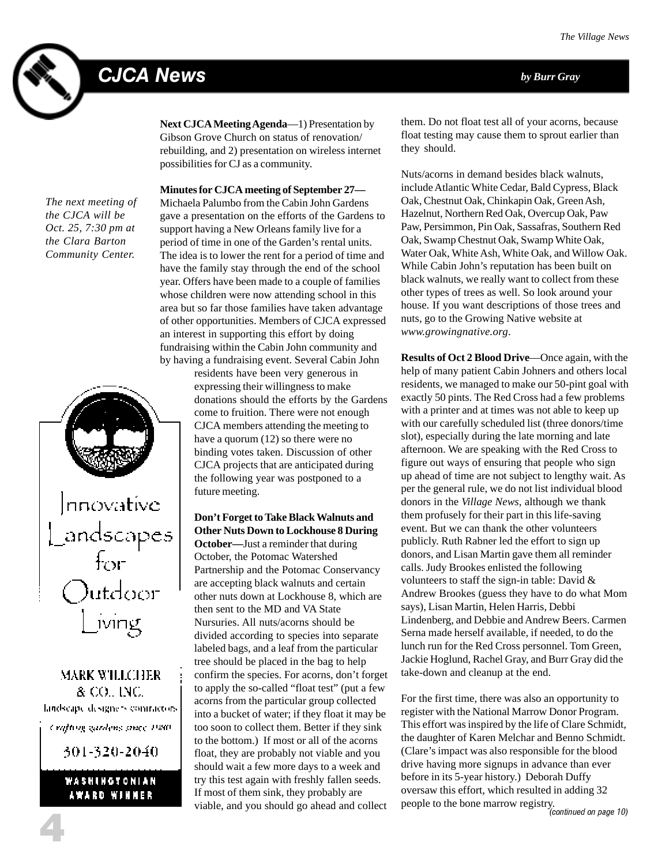## CJCA News *by Burr Gray*



**Next CJCA Meeting Agenda**—1) Presentation by Gibson Grove Church on status of renovation/ rebuilding, and 2) presentation on wireless internet possibilities for CJ as a community.

*The next meeting of the CJCA will be Oct. 25, 7:30 pm at the Clara Barton Community Center.*



**MARK WILLCHER** & CO., INC. landscape designers contractors. Crafting gardens ance 1980. 301-320-2040.

#### WASHINGTONIAN AWARD WINNER

4

**Minutes for CJCA meeting of September 27—** Michaela Palumbo from the Cabin John Gardens gave a presentation on the efforts of the Gardens to support having a New Orleans family live for a period of time in one of the Garden's rental units. The idea is to lower the rent for a period of time and have the family stay through the end of the school year. Offers have been made to a couple of families whose children were now attending school in this area but so far those families have taken advantage of other opportunities. Members of CJCA expressed an interest in supporting this effort by doing fundraising within the Cabin John community and by having a fundraising event. Several Cabin John

> residents have been very generous in expressing their willingness to make donations should the efforts by the Gardens come to fruition. There were not enough CJCA members attending the meeting to have a quorum (12) so there were no binding votes taken. Discussion of other CJCA projects that are anticipated during the following year was postponed to a future meeting.

#### **Don't Forget to Take Black Walnuts and Other Nuts Down to Lockhouse 8 During**

**October—**Just a reminder that during October, the Potomac Watershed Partnership and the Potomac Conservancy are accepting black walnuts and certain other nuts down at Lockhouse 8, which are then sent to the MD and VA State Nursuries. All nuts/acorns should be divided according to species into separate labeled bags, and a leaf from the particular tree should be placed in the bag to help confirm the species. For acorns, don't forget to apply the so-called "float test" (put a few acorns from the particular group collected into a bucket of water; if they float it may be too soon to collect them. Better if they sink to the bottom.) If most or all of the acorns float, they are probably not viable and you should wait a few more days to a week and try this test again with freshly fallen seeds. If most of them sink, they probably are viable, and you should go ahead and collect

them. Do not float test all of your acorns, because float testing may cause them to sprout earlier than they should.

Nuts/acorns in demand besides black walnuts, include Atlantic White Cedar, Bald Cypress, Black Oak, Chestnut Oak, Chinkapin Oak, Green Ash, Hazelnut, Northern Red Oak, Overcup Oak, Paw Paw, Persimmon, Pin Oak, Sassafras, Southern Red Oak, Swamp Chestnut Oak, Swamp White Oak, Water Oak, White Ash, White Oak, and Willow Oak. While Cabin John's reputation has been built on black walnuts, we really want to collect from these other types of trees as well. So look around your house. If you want descriptions of those trees and nuts, go to the Growing Native website at *www.growingnative.org*.

**Results of Oct 2 Blood Drive**—Once again, with the help of many patient Cabin Johners and others local residents, we managed to make our 50-pint goal with exactly 50 pints. The Red Cross had a few problems with a printer and at times was not able to keep up with our carefully scheduled list (three donors/time slot), especially during the late morning and late afternoon. We are speaking with the Red Cross to figure out ways of ensuring that people who sign up ahead of time are not subject to lengthy wait. As per the general rule, we do not list individual blood donors in the *Village News*, although we thank them profusely for their part in this life-saving event. But we can thank the other volunteers publicly. Ruth Rabner led the effort to sign up donors, and Lisan Martin gave them all reminder calls. Judy Brookes enlisted the following volunteers to staff the sign-in table: David & Andrew Brookes (guess they have to do what Mom says), Lisan Martin, Helen Harris, Debbi Lindenberg, and Debbie and Andrew Beers. Carmen Serna made herself available, if needed, to do the lunch run for the Red Cross personnel. Tom Green, Jackie Hoglund, Rachel Gray, and Burr Gray did the take-down and cleanup at the end.

For the first time, there was also an opportunity to register with the National Marrow Donor Program. This effort was inspired by the life of Clare Schmidt, the daughter of Karen Melchar and Benno Schmidt. (Clare's impact was also responsible for the blood drive having more signups in advance than ever before in its 5-year history.) Deborah Duffy oversaw this effort, which resulted in adding 32 people to the bone marrow registry.<br>(continued on page 10)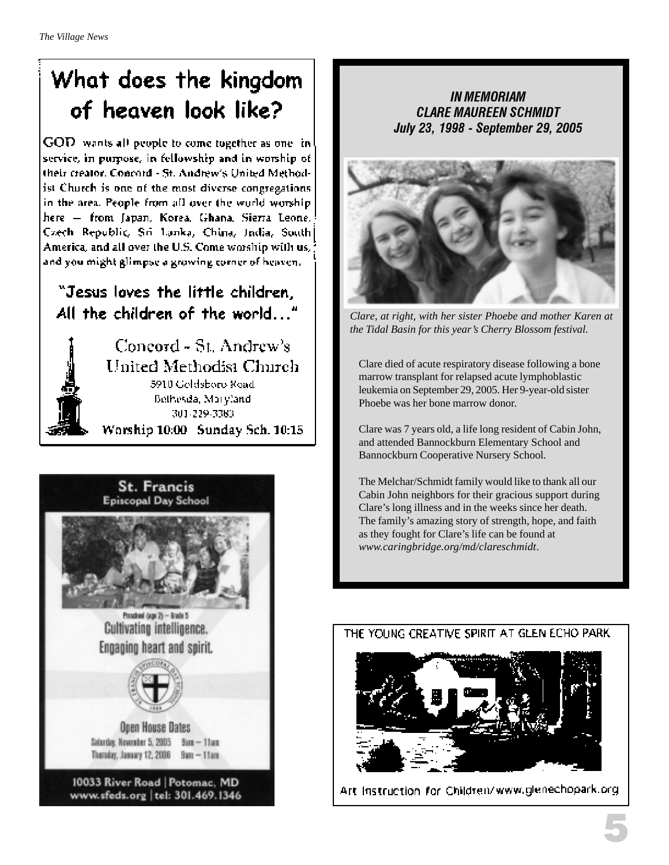# What does the kingdom of heaven look like?

GOD wants all people to come together as one in service, in purpose, in fellowship and in worship of their creator. Concord - St. Andrew's United Methodist Church is one of the most diverse congregations in the area. People from all over the world worship. here - from Japan, Korea, Ghana, Sierra Leone. Czech Republic, Sri Lanka, China, India, South America, and all over the U.S. Come worship with us, and you might glimpse a growing corner of heaven.

## "Jesus loves the little children. All the children of the world..."



Concord - St. Andrew's United Methodist Church 5910 Goldsboro Road Bethesda, Maryland 301-229-3383 Worship 10:00 Sunday Sch. 10:15



IN MEMORIAM CLARE MAUREEN SCHMIDT July 23, 1998 - September 29, 2005



*Clare, at right, with her sister Phoebe and mother Karen at the Tidal Basin for this year's Cherry Blossom festival.*

Clare died of acute respiratory disease following a bone marrow transplant for relapsed acute lymphoblastic leukemia on September 29, 2005. Her 9-year-old sister Phoebe was her bone marrow donor.

Clare was 7 years old, a life long resident of Cabin John, and attended Bannockburn Elementary School and Bannockburn Cooperative Nursery School.

The Melchar/Schmidt family would like to thank all our Cabin John neighbors for their gracious support during Clare's long illness and in the weeks since her death. The family's amazing story of strength, hope, and faith as they fought for Clare's life can be found at *www.caringbridge.org/md/clareschmidt*.



Art Instruction for Children/www.glenechopark.org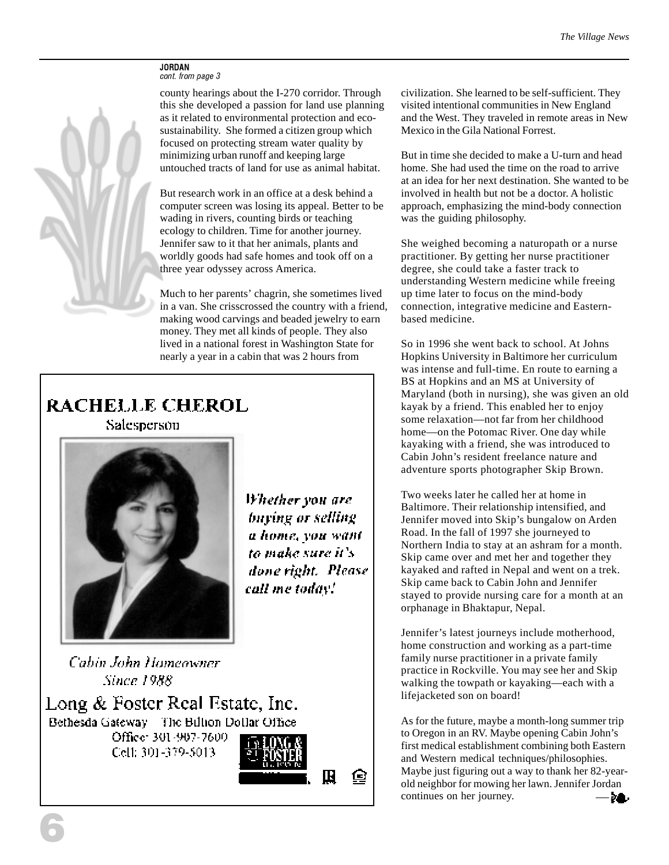#### JORDAN cont. from page 3

county hearings about the I-270 corridor. Through this she developed a passion for land use planning as it related to environmental protection and ecosustainability. She formed a citizen group which focused on protecting stream water quality by minimizing urban runoff and keeping large untouched tracts of land for use as animal habitat.

But research work in an office at a desk behind a computer screen was losing its appeal. Better to be wading in rivers, counting birds or teaching ecology to children. Time for another journey. Jennifer saw to it that her animals, plants and worldly goods had safe homes and took off on a three year odyssey across America.

Much to her parents' chagrin, she sometimes lived in a van. She crisscrossed the country with a friend, making wood carvings and beaded jewelry to earn money. They met all kinds of people. They also lived in a national forest in Washington State for nearly a year in a cabin that was 2 hours from

## **RACHELLE CHEROL**

Salesperson



Whether you are buying or selling a home, you want to make sure it's done right. Please call me today!

G

Cabin John Homeowner **Since 1988** 



civilization. She learned to be self-sufficient. They visited intentional communities in New England and the West. They traveled in remote areas in New Mexico in the Gila National Forrest.

But in time she decided to make a U-turn and head home. She had used the time on the road to arrive at an idea for her next destination. She wanted to be involved in health but not be a doctor. A holistic approach, emphasizing the mind-body connection was the guiding philosophy.

She weighed becoming a naturopath or a nurse practitioner. By getting her nurse practitioner degree, she could take a faster track to understanding Western medicine while freeing up time later to focus on the mind-body connection, integrative medicine and Easternbased medicine.

So in 1996 she went back to school. At Johns Hopkins University in Baltimore her curriculum was intense and full-time. En route to earning a BS at Hopkins and an MS at University of Maryland (both in nursing), she was given an old kayak by a friend. This enabled her to enjoy some relaxation—not far from her childhood home—on the Potomac River. One day while kayaking with a friend, she was introduced to Cabin John's resident freelance nature and adventure sports photographer Skip Brown.

Two weeks later he called her at home in Baltimore. Their relationship intensified, and Jennifer moved into Skip's bungalow on Arden Road. In the fall of 1997 she journeyed to Northern India to stay at an ashram for a month. Skip came over and met her and together they kayaked and rafted in Nepal and went on a trek. Skip came back to Cabin John and Jennifer stayed to provide nursing care for a month at an orphanage in Bhaktapur, Nepal.

Jennifer's latest journeys include motherhood, home construction and working as a part-time family nurse practitioner in a private family practice in Rockville. You may see her and Skip walking the towpath or kayaking—each with a lifejacketed son on board!

As for the future, maybe a month-long summer trip to Oregon in an RV. Maybe opening Cabin John's first medical establishment combining both Eastern and Western medical techniques/philosophies. Maybe just figuring out a way to thank her 82-yearold neighbor for mowing her lawn. Jennifer Jordan continues on her journey.  $\lambda$  .

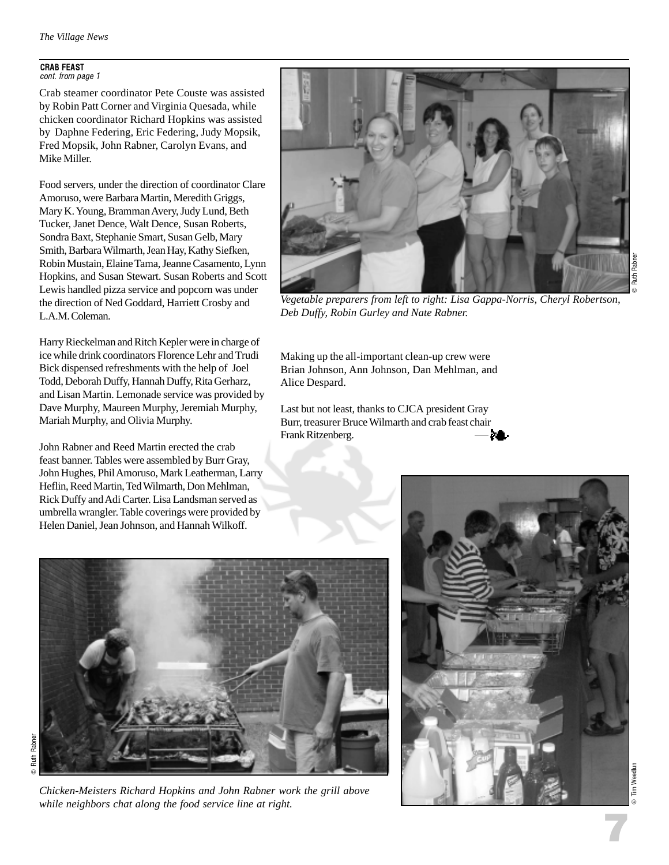#### CRAB FEAST

cont. from page 1

Crab steamer coordinator Pete Couste was assisted by Robin Patt Corner and Virginia Quesada, while chicken coordinator Richard Hopkins was assisted by Daphne Federing, Eric Federing, Judy Mopsik, Fred Mopsik, John Rabner, Carolyn Evans, and Mike Miller.

Food servers, under the direction of coordinator Clare Amoruso, were Barbara Martin, Meredith Griggs, Mary K. Young, Bramman Avery, Judy Lund, Beth Tucker, Janet Dence, Walt Dence, Susan Roberts, Sondra Baxt, Stephanie Smart, Susan Gelb, Mary Smith, Barbara Wilmarth, Jean Hay, Kathy Siefken, Robin Mustain, Elaine Tama, Jeanne Casamento, Lynn Hopkins, and Susan Stewart. Susan Roberts and Scott Lewis handled pizza service and popcorn was under the direction of Ned Goddard, Harriett Crosby and L.A.M. Coleman.

Harry Rieckelman and Ritch Kepler were in charge of ice while drink coordinators Florence Lehr and Trudi Bick dispensed refreshments with the help of Joel Todd, Deborah Duffy, Hannah Duffy, Rita Gerharz, and Lisan Martin. Lemonade service was provided by Dave Murphy, Maureen Murphy, Jeremiah Murphy, Mariah Murphy, and Olivia Murphy.

John Rabner and Reed Martin erected the crab feast banner. Tables were assembled by Burr Gray, John Hughes, Phil Amoruso, Mark Leatherman, Larry Heflin, Reed Martin, Ted Wilmarth, Don Mehlman, Rick Duffy and Adi Carter. Lisa Landsman served as umbrella wrangler. Table coverings were provided by Helen Daniel, Jean Johnson, and Hannah Wilkoff.



*Vegetable preparers from left to right: Lisa Gappa-Norris, Cheryl Robertson, Deb Duffy, Robin Gurley and Nate Rabner.*

Making up the all-important clean-up crew were Brian Johnson, Ann Johnson, Dan Mehlman, and Alice Despard.

Last but not least, thanks to CJCA president Gray Burr, treasurer Bruce Wilmarth and crab feast chair Frank Ritzenberg.



*Chicken-Meisters Richard Hopkins and John Rabner work the grill above while neighbors chat along the food service line at right.*



7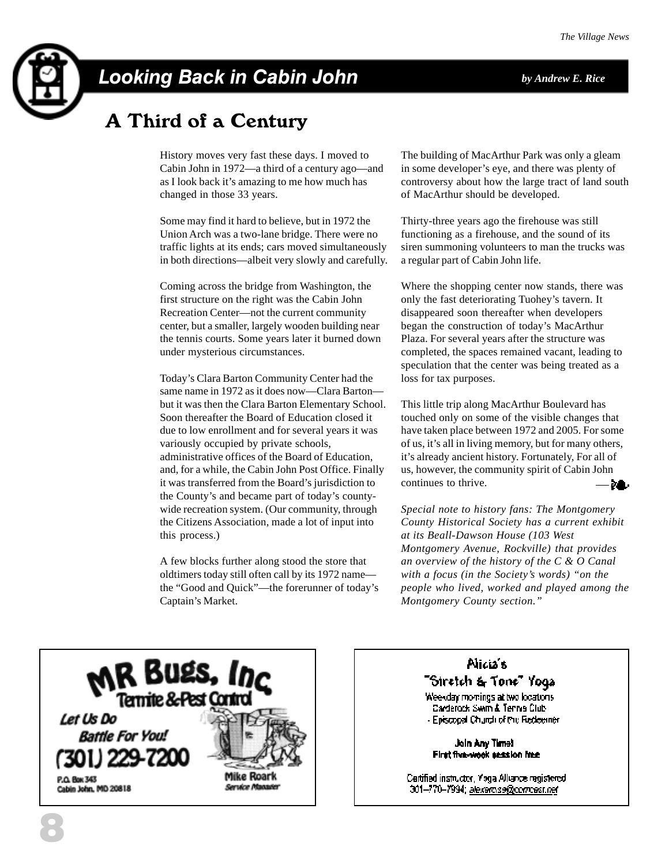

## Looking Back in Cabin John *by Andrew E. Rice*

## A Third of a Century

History moves very fast these days. I moved to Cabin John in 1972—a third of a century ago—and as I look back it's amazing to me how much has changed in those 33 years.

Some may find it hard to believe, but in 1972 the Union Arch was a two-lane bridge. There were no traffic lights at its ends; cars moved simultaneously in both directions—albeit very slowly and carefully.

Coming across the bridge from Washington, the first structure on the right was the Cabin John Recreation Center—not the current community center, but a smaller, largely wooden building near the tennis courts. Some years later it burned down under mysterious circumstances.

Today's Clara Barton Community Center had the same name in 1972 as it does now—Clara Barton but it was then the Clara Barton Elementary School. Soon thereafter the Board of Education closed it due to low enrollment and for several years it was variously occupied by private schools, administrative offices of the Board of Education, and, for a while, the Cabin John Post Office. Finally it was transferred from the Board's jurisdiction to the County's and became part of today's countywide recreation system. (Our community, through the Citizens Association, made a lot of input into this process.)

A few blocks further along stood the store that oldtimers today still often call by its 1972 name the "Good and Quick"—the forerunner of today's Captain's Market.

The building of MacArthur Park was only a gleam in some developer's eye, and there was plenty of controversy about how the large tract of land south of MacArthur should be developed.

Thirty-three years ago the firehouse was still functioning as a firehouse, and the sound of its siren summoning volunteers to man the trucks was a regular part of Cabin John life.

Where the shopping center now stands, there was only the fast deteriorating Tuohey's tavern. It disappeared soon thereafter when developers began the construction of today's MacArthur Plaza. For several years after the structure was completed, the spaces remained vacant, leading to speculation that the center was being treated as a loss for tax purposes.

This little trip along MacArthur Boulevard has touched only on some of the visible changes that have taken place between 1972 and 2005. For some of us, it's all in living memory, but for many others, it's already ancient history. Fortunately, For all of us, however, the community spirit of Cabin John continues to thrive. ÞА.

*Special note to history fans: The Montgomery County Historical Society has a current exhibit at its Beall-Dawson House (103 West Montgomery Avenue, Rockville) that provides an overview of the history of the C & O Canal with a focus (in the Society's words) "on the people who lived, worked and played among the Montgomery County section."*



#### Nicia's "Siretch & Tone" Yoga

Weekday momings at two locations Carderock Swim & Tennis Club - Episcopal Church of the Redeemer

Join Any Time! First five-wook session free

Cartified instructor, Yoga Alliance registered. 301–770–7994; <u>alexardise@compast.net</u>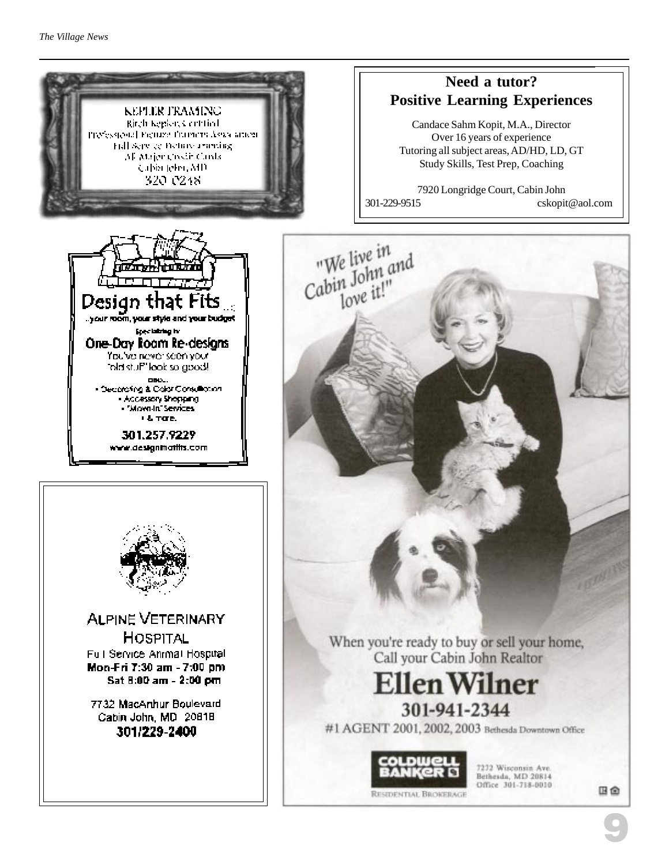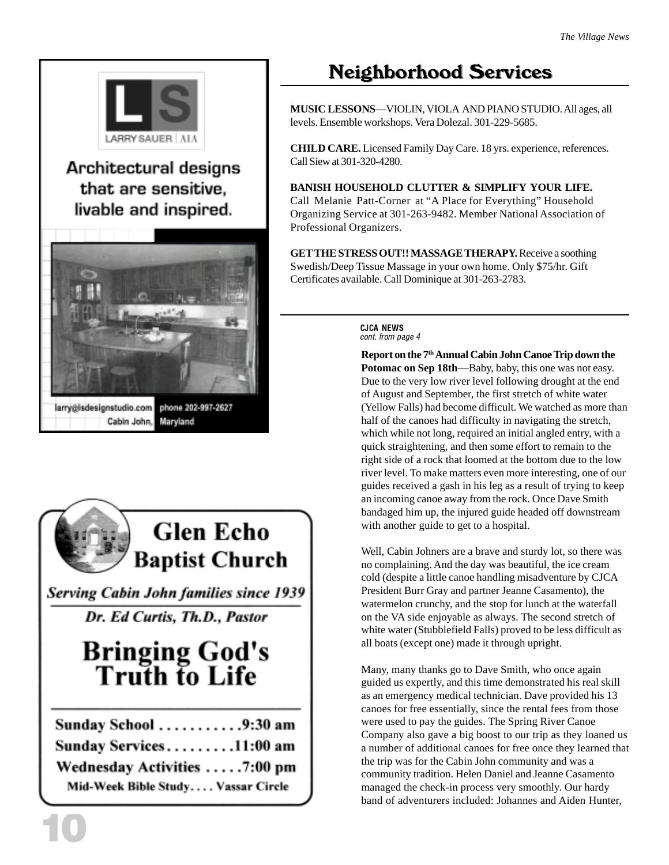

### Architectural designs that are sensitive. livable and inspired.



Cabin John,

## **Glen Echo Baptist Church**

**Serving Cabin John families since 1939** 

Dr. Ed Curtis, Th.D., Pastor

# **Bringing God's<br>Truth to Life**

| Sunday School 9:30 am              |  |
|------------------------------------|--|
| Sunday Services11:00 am            |  |
| Wednesday Activities 7:00 pm       |  |
| Mid-Week Bible Study Vassar Circle |  |

## Neighborhood Services

**MUSIC LESSONS**—VIOLIN, VIOLA AND PIANO STUDIO. All ages, all levels. Ensemble workshops. Vera Dolezal. 301-229-5685.

**CHILD CARE.** Licensed Family Day Care. 18 yrs. experience, references. Call Siew at 301-320-4280.

**BANISH HOUSEHOLD CLUTTER & SIMPLIFY YOUR LIFE.** Call Melanie Patt-Corner at "A Place for Everything" Household Organizing Service at 301-263-9482. Member National Association of Professional Organizers.

**GET THE STRESS OUT!! MASSAGE THERAPY.** Receive a soothing Swedish/Deep Tissue Massage in your own home. Only \$75/hr. Gift Certificates available. Call Dominique at 301-263-2783.

> CJCA NEWS cont. from page 4

**Report on the 7th Annual Cabin John Canoe Trip down the Potomac on Sep 18th**—Baby, baby, this one was not easy. Due to the very low river level following drought at the end of August and September, the first stretch of white water (Yellow Falls) had become difficult. We watched as more than half of the canoes had difficulty in navigating the stretch, which while not long, required an initial angled entry, with a quick straightening, and then some effort to remain to the right side of a rock that loomed at the bottom due to the low river level. To make matters even more interesting, one of our guides received a gash in his leg as a result of trying to keep an incoming canoe away from the rock. Once Dave Smith bandaged him up, the injured guide headed off downstream with another guide to get to a hospital.

Well, Cabin Johners are a brave and sturdy lot, so there was no complaining. And the day was beautiful, the ice cream cold (despite a little canoe handling misadventure by CJCA President Burr Gray and partner Jeanne Casamento), the watermelon crunchy, and the stop for lunch at the waterfall on the VA side enjoyable as always. The second stretch of white water (Stubblefield Falls) proved to be less difficult as all boats (except one) made it through upright.

Many, many thanks go to Dave Smith, who once again guided us expertly, and this time demonstrated his real skill as an emergency medical technician. Dave provided his 13 canoes for free essentially, since the rental fees from those were used to pay the guides. The Spring River Canoe Company also gave a big boost to our trip as they loaned us a number of additional canoes for free once they learned that the trip was for the Cabin John community and was a community tradition. Helen Daniel and Jeanne Casamento managed the check-in process very smoothly. Our hardy band of adventurers included: Johannes and Aiden Hunter,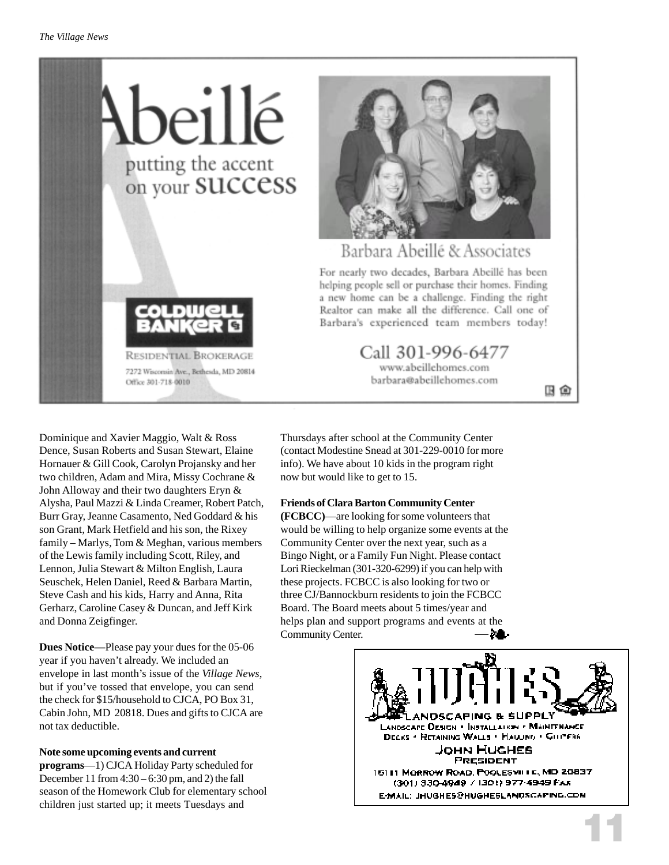



#### Barbara Abeillé & Associates

For nearly two decades, Barbara Abeillé has been helping people sell or purchase their homes. Finding a new home can be a challenge. Finding the right Realtor can make all the difference. Call one of Barbara's experienced team members today!

> Call 301-996-6477 www.abeillehomes.com barbara@abeillehomes.com

田田

Dominique and Xavier Maggio, Walt & Ross Dence, Susan Roberts and Susan Stewart, Elaine Hornauer & Gill Cook, Carolyn Projansky and her two children, Adam and Mira, Missy Cochrane & John Alloway and their two daughters Eryn & Alysha, Paul Mazzi & Linda Creamer, Robert Patch, Burr Gray, Jeanne Casamento, Ned Goddard & his son Grant, Mark Hetfield and his son, the Rixey family – Marlys, Tom & Meghan, various members of the Lewis family including Scott, Riley, and Lennon, Julia Stewart & Milton English, Laura Seuschek, Helen Daniel, Reed & Barbara Martin, Steve Cash and his kids, Harry and Anna, Rita Gerharz, Caroline Casey & Duncan, and Jeff Kirk and Donna Zeigfinger.

**Dues Notice—**Please pay your dues for the 05-06 year if you haven't already. We included an envelope in last month's issue of the *Village News*, but if you've tossed that envelope, you can send the check for \$15/household to CJCA, PO Box 31, Cabin John, MD 20818. Dues and gifts to CJCA are not tax deductible.

#### **Note some upcoming events and current**

**programs**—1) CJCA Holiday Party scheduled for December 11 from 4:30 – 6:30 pm, and 2) the fall season of the Homework Club for elementary school children just started up; it meets Tuesdays and

Thursdays after school at the Community Center (contact Modestine Snead at 301-229-0010 for more info). We have about 10 kids in the program right now but would like to get to 15.

#### **Friends of Clara Barton Community Center**

**(FCBCC)**—are looking for some volunteers that would be willing to help organize some events at the Community Center over the next year, such as a Bingo Night, or a Family Fun Night. Please contact Lori Rieckelman (301-320-6299) if you can help with these projects. FCBCC is also looking for two or three CJ/Bannockburn residents to join the FCBCC Board. The Board meets about 5 times/year and helps plan and support programs and events at the ZO. Community Center.



11